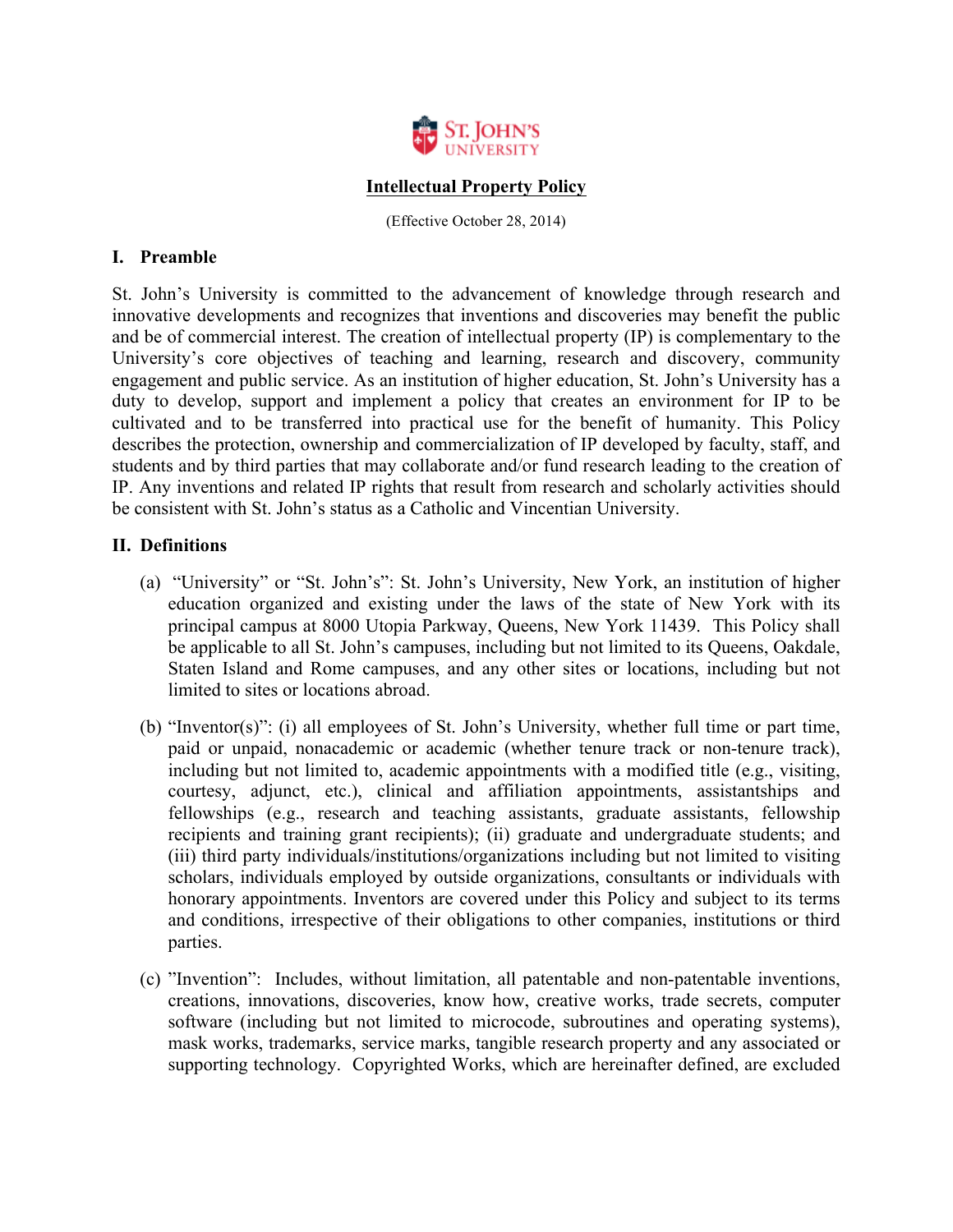

# **Intellectual Property Policy**

(Effective October 28, 2014)

# **I. Preamble**

St. John's University is committed to the advancement of knowledge through research and innovative developments and recognizes that inventions and discoveries may benefit the public and be of commercial interest. The creation of intellectual property (IP) is complementary to the University's core objectives of teaching and learning, research and discovery, community engagement and public service. As an institution of higher education, St. John's University has a duty to develop, support and implement a policy that creates an environment for IP to be cultivated and to be transferred into practical use for the benefit of humanity. This Policy describes the protection, ownership and commercialization of IP developed by faculty, staff, and students and by third parties that may collaborate and/or fund research leading to the creation of IP. Any inventions and related IP rights that result from research and scholarly activities should be consistent with St. John's status as a Catholic and Vincentian University.

# **II. Definitions**

- (a) "University" or "St. John's": St. John's University, New York, an institution of higher education organized and existing under the laws of the state of New York with its principal campus at 8000 Utopia Parkway, Queens, New York 11439. This Policy shall be applicable to all St. John's campuses, including but not limited to its Queens, Oakdale, Staten Island and Rome campuses, and any other sites or locations, including but not limited to sites or locations abroad.
- (b) "Inventor(s)": (i) all employees of St. John's University, whether full time or part time, paid or unpaid, nonacademic or academic (whether tenure track or non-tenure track), including but not limited to, academic appointments with a modified title (e.g., visiting, courtesy, adjunct, etc.), clinical and affiliation appointments, assistantships and fellowships (e.g., research and teaching assistants, graduate assistants, fellowship recipients and training grant recipients); (ii) graduate and undergraduate students; and (iii) third party individuals/institutions/organizations including but not limited to visiting scholars, individuals employed by outside organizations, consultants or individuals with honorary appointments. Inventors are covered under this Policy and subject to its terms and conditions, irrespective of their obligations to other companies, institutions or third parties.
- (c) "Invention": Includes, without limitation, all patentable and non-patentable inventions, creations, innovations, discoveries, know how, creative works, trade secrets, computer software (including but not limited to microcode, subroutines and operating systems), mask works, trademarks, service marks, tangible research property and any associated or supporting technology. Copyrighted Works, which are hereinafter defined, are excluded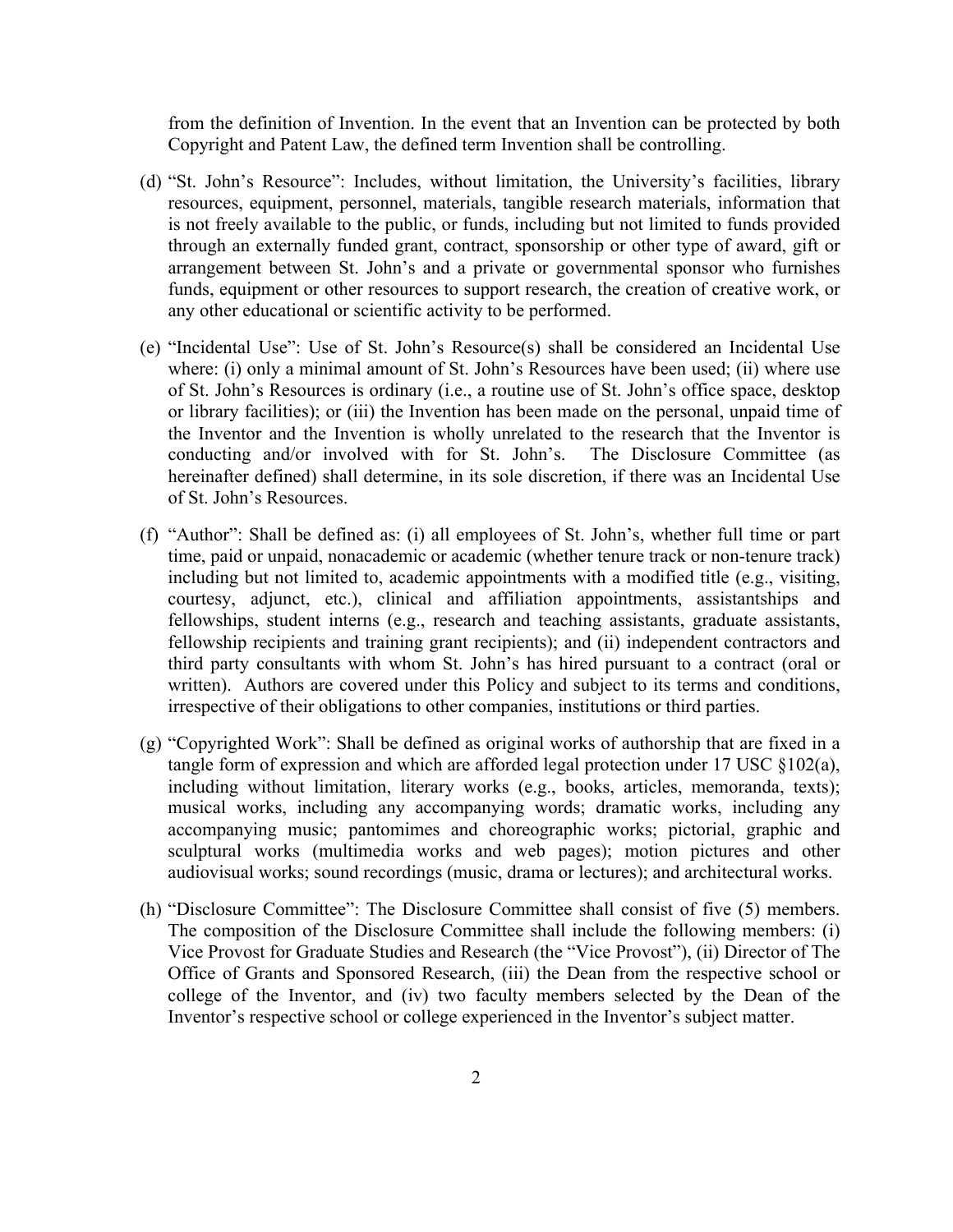from the definition of Invention. In the event that an Invention can be protected by both Copyright and Patent Law, the defined term Invention shall be controlling.

- (d) "St. John's Resource": Includes, without limitation, the University's facilities, library resources, equipment, personnel, materials, tangible research materials, information that is not freely available to the public, or funds, including but not limited to funds provided through an externally funded grant, contract, sponsorship or other type of award, gift or arrangement between St. John's and a private or governmental sponsor who furnishes funds, equipment or other resources to support research, the creation of creative work, or any other educational or scientific activity to be performed.
- (e) "Incidental Use": Use of St. John's Resource(s) shall be considered an Incidental Use where: (i) only a minimal amount of St. John's Resources have been used; (ii) where use of St. John's Resources is ordinary (i.e., a routine use of St. John's office space, desktop or library facilities); or (iii) the Invention has been made on the personal, unpaid time of the Inventor and the Invention is wholly unrelated to the research that the Inventor is conducting and/or involved with for St. John's. The Disclosure Committee (as hereinafter defined) shall determine, in its sole discretion, if there was an Incidental Use of St. John's Resources.
- (f) "Author": Shall be defined as: (i) all employees of St. John's, whether full time or part time, paid or unpaid, nonacademic or academic (whether tenure track or non-tenure track) including but not limited to, academic appointments with a modified title (e.g., visiting, courtesy, adjunct, etc.), clinical and affiliation appointments, assistantships and fellowships, student interns (e.g., research and teaching assistants, graduate assistants, fellowship recipients and training grant recipients); and (ii) independent contractors and third party consultants with whom St. John's has hired pursuant to a contract (oral or written). Authors are covered under this Policy and subject to its terms and conditions, irrespective of their obligations to other companies, institutions or third parties.
- (g) "Copyrighted Work": Shall be defined as original works of authorship that are fixed in a tangle form of expression and which are afforded legal protection under 17 USC §102(a), including without limitation, literary works (e.g., books, articles, memoranda, texts); musical works, including any accompanying words; dramatic works, including any accompanying music; pantomimes and choreographic works; pictorial, graphic and sculptural works (multimedia works and web pages); motion pictures and other audiovisual works; sound recordings (music, drama or lectures); and architectural works.
- (h) "Disclosure Committee": The Disclosure Committee shall consist of five (5) members. The composition of the Disclosure Committee shall include the following members: (i) Vice Provost for Graduate Studies and Research (the "Vice Provost"), (ii) Director of The Office of Grants and Sponsored Research, (iii) the Dean from the respective school or college of the Inventor, and (iv) two faculty members selected by the Dean of the Inventor's respective school or college experienced in the Inventor's subject matter.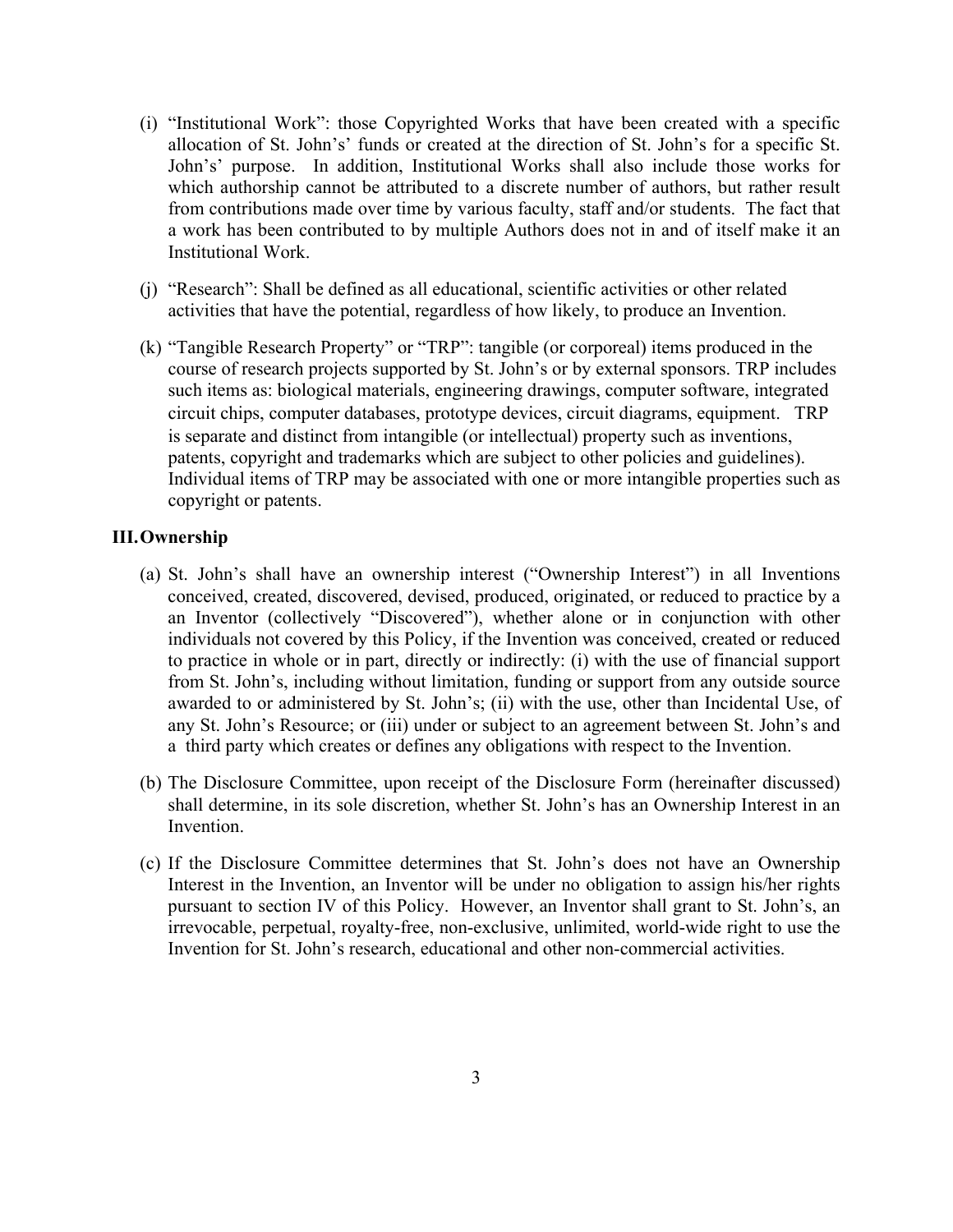- (i) "Institutional Work": those Copyrighted Works that have been created with a specific allocation of St. John's' funds or created at the direction of St. John's for a specific St. John's' purpose. In addition, Institutional Works shall also include those works for which authorship cannot be attributed to a discrete number of authors, but rather result from contributions made over time by various faculty, staff and/or students. The fact that a work has been contributed to by multiple Authors does not in and of itself make it an Institutional Work.
- (j) "Research": Shall be defined as all educational, scientific activities or other related activities that have the potential, regardless of how likely, to produce an Invention.
- (k) "Tangible Research Property" or "TRP": tangible (or corporeal) items produced in the course of research projects supported by St. John's or by external sponsors. TRP includes such items as: biological materials, engineering drawings, computer software, integrated circuit chips, computer databases, prototype devices, circuit diagrams, equipment. TRP is separate and distinct from intangible (or intellectual) property such as inventions, patents, copyright and trademarks which are subject to other policies and guidelines). Individual items of TRP may be associated with one or more intangible properties such as copyright or patents.

# **III.Ownership**

- (a) St. John's shall have an ownership interest ("Ownership Interest") in all Inventions conceived, created, discovered, devised, produced, originated, or reduced to practice by a an Inventor (collectively "Discovered"), whether alone or in conjunction with other individuals not covered by this Policy, if the Invention was conceived, created or reduced to practice in whole or in part, directly or indirectly: (i) with the use of financial support from St. John's, including without limitation, funding or support from any outside source awarded to or administered by St. John's; (ii) with the use, other than Incidental Use, of any St. John's Resource; or (iii) under or subject to an agreement between St. John's and a third party which creates or defines any obligations with respect to the Invention.
- (b) The Disclosure Committee, upon receipt of the Disclosure Form (hereinafter discussed) shall determine, in its sole discretion, whether St. John's has an Ownership Interest in an **Invention**
- (c) If the Disclosure Committee determines that St. John's does not have an Ownership Interest in the Invention, an Inventor will be under no obligation to assign his/her rights pursuant to section IV of this Policy. However, an Inventor shall grant to St. John's, an irrevocable, perpetual, royalty-free, non-exclusive, unlimited, world-wide right to use the Invention for St. John's research, educational and other non-commercial activities.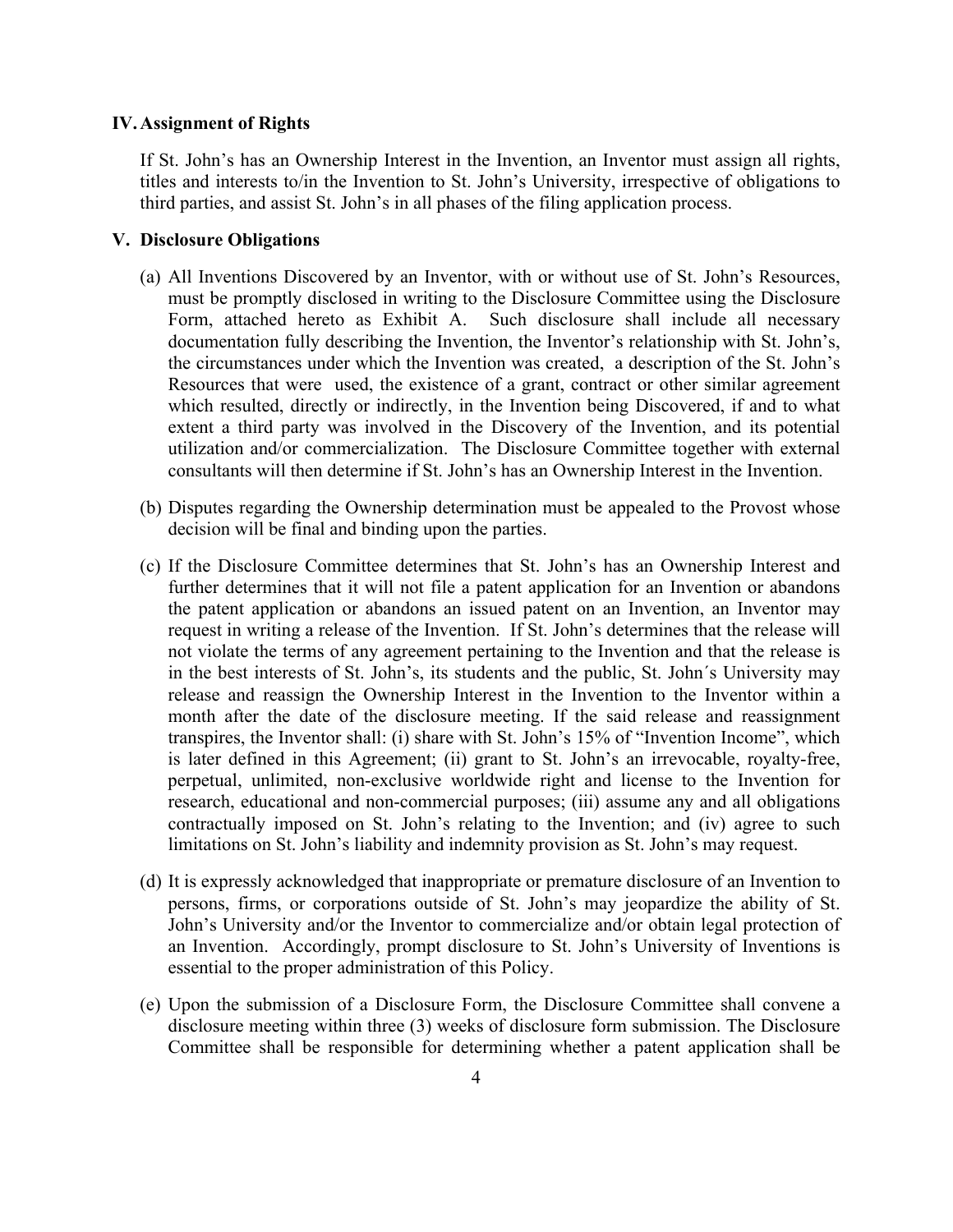## **IV.Assignment of Rights**

If St. John's has an Ownership Interest in the Invention, an Inventor must assign all rights, titles and interests to/in the Invention to St. John's University, irrespective of obligations to third parties, and assist St. John's in all phases of the filing application process.

## **V. Disclosure Obligations**

- (a) All Inventions Discovered by an Inventor, with or without use of St. John's Resources, must be promptly disclosed in writing to the Disclosure Committee using the Disclosure Form, attached hereto as Exhibit A. Such disclosure shall include all necessary documentation fully describing the Invention, the Inventor's relationship with St. John's, the circumstances under which the Invention was created, a description of the St. John's Resources that were used, the existence of a grant, contract or other similar agreement which resulted, directly or indirectly, in the Invention being Discovered, if and to what extent a third party was involved in the Discovery of the Invention, and its potential utilization and/or commercialization. The Disclosure Committee together with external consultants will then determine if St. John's has an Ownership Interest in the Invention.
- (b) Disputes regarding the Ownership determination must be appealed to the Provost whose decision will be final and binding upon the parties.
- (c) If the Disclosure Committee determines that St. John's has an Ownership Interest and further determines that it will not file a patent application for an Invention or abandons the patent application or abandons an issued patent on an Invention, an Inventor may request in writing a release of the Invention. If St. John's determines that the release will not violate the terms of any agreement pertaining to the Invention and that the release is in the best interests of St. John's, its students and the public, St. John´s University may release and reassign the Ownership Interest in the Invention to the Inventor within a month after the date of the disclosure meeting. If the said release and reassignment transpires, the Inventor shall: (i) share with St. John's 15% of "Invention Income", which is later defined in this Agreement; (ii) grant to St. John's an irrevocable, royalty-free, perpetual, unlimited, non-exclusive worldwide right and license to the Invention for research, educational and non-commercial purposes; (iii) assume any and all obligations contractually imposed on St. John's relating to the Invention; and (iv) agree to such limitations on St. John's liability and indemnity provision as St. John's may request.
- (d) It is expressly acknowledged that inappropriate or premature disclosure of an Invention to persons, firms, or corporations outside of St. John's may jeopardize the ability of St. John's University and/or the Inventor to commercialize and/or obtain legal protection of an Invention. Accordingly, prompt disclosure to St. John's University of Inventions is essential to the proper administration of this Policy.
- (e) Upon the submission of a Disclosure Form, the Disclosure Committee shall convene a disclosure meeting within three (3) weeks of disclosure form submission. The Disclosure Committee shall be responsible for determining whether a patent application shall be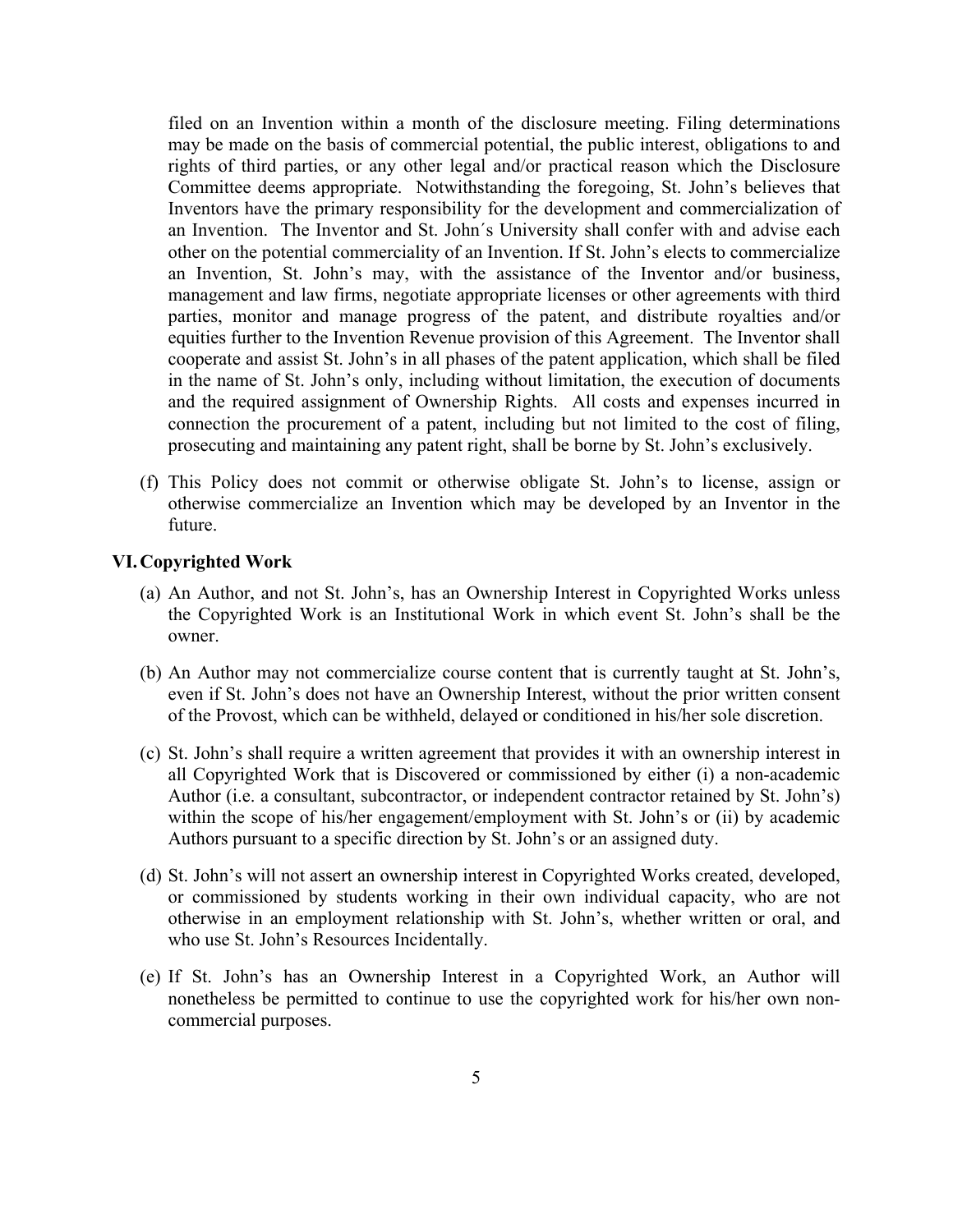filed on an Invention within a month of the disclosure meeting. Filing determinations may be made on the basis of commercial potential, the public interest, obligations to and rights of third parties, or any other legal and/or practical reason which the Disclosure Committee deems appropriate. Notwithstanding the foregoing, St. John's believes that Inventors have the primary responsibility for the development and commercialization of an Invention. The Inventor and St. John´s University shall confer with and advise each other on the potential commerciality of an Invention. If St. John's elects to commercialize an Invention, St. John's may, with the assistance of the Inventor and/or business, management and law firms, negotiate appropriate licenses or other agreements with third parties, monitor and manage progress of the patent, and distribute royalties and/or equities further to the Invention Revenue provision of this Agreement. The Inventor shall cooperate and assist St. John's in all phases of the patent application, which shall be filed in the name of St. John's only, including without limitation, the execution of documents and the required assignment of Ownership Rights. All costs and expenses incurred in connection the procurement of a patent, including but not limited to the cost of filing, prosecuting and maintaining any patent right, shall be borne by St. John's exclusively.

(f) This Policy does not commit or otherwise obligate St. John's to license, assign or otherwise commercialize an Invention which may be developed by an Inventor in the future.

### **VI.Copyrighted Work**

- (a) An Author, and not St. John's, has an Ownership Interest in Copyrighted Works unless the Copyrighted Work is an Institutional Work in which event St. John's shall be the owner.
- (b) An Author may not commercialize course content that is currently taught at St. John's, even if St. John's does not have an Ownership Interest, without the prior written consent of the Provost, which can be withheld, delayed or conditioned in his/her sole discretion.
- (c) St. John's shall require a written agreement that provides it with an ownership interest in all Copyrighted Work that is Discovered or commissioned by either (i) a non-academic Author (i.e. a consultant, subcontractor, or independent contractor retained by St. John's) within the scope of his/her engagement/employment with St. John's or (ii) by academic Authors pursuant to a specific direction by St. John's or an assigned duty.
- (d) St. John's will not assert an ownership interest in Copyrighted Works created, developed, or commissioned by students working in their own individual capacity, who are not otherwise in an employment relationship with St. John's, whether written or oral, and who use St. John's Resources Incidentally.
- (e) If St. John's has an Ownership Interest in a Copyrighted Work, an Author will nonetheless be permitted to continue to use the copyrighted work for his/her own noncommercial purposes.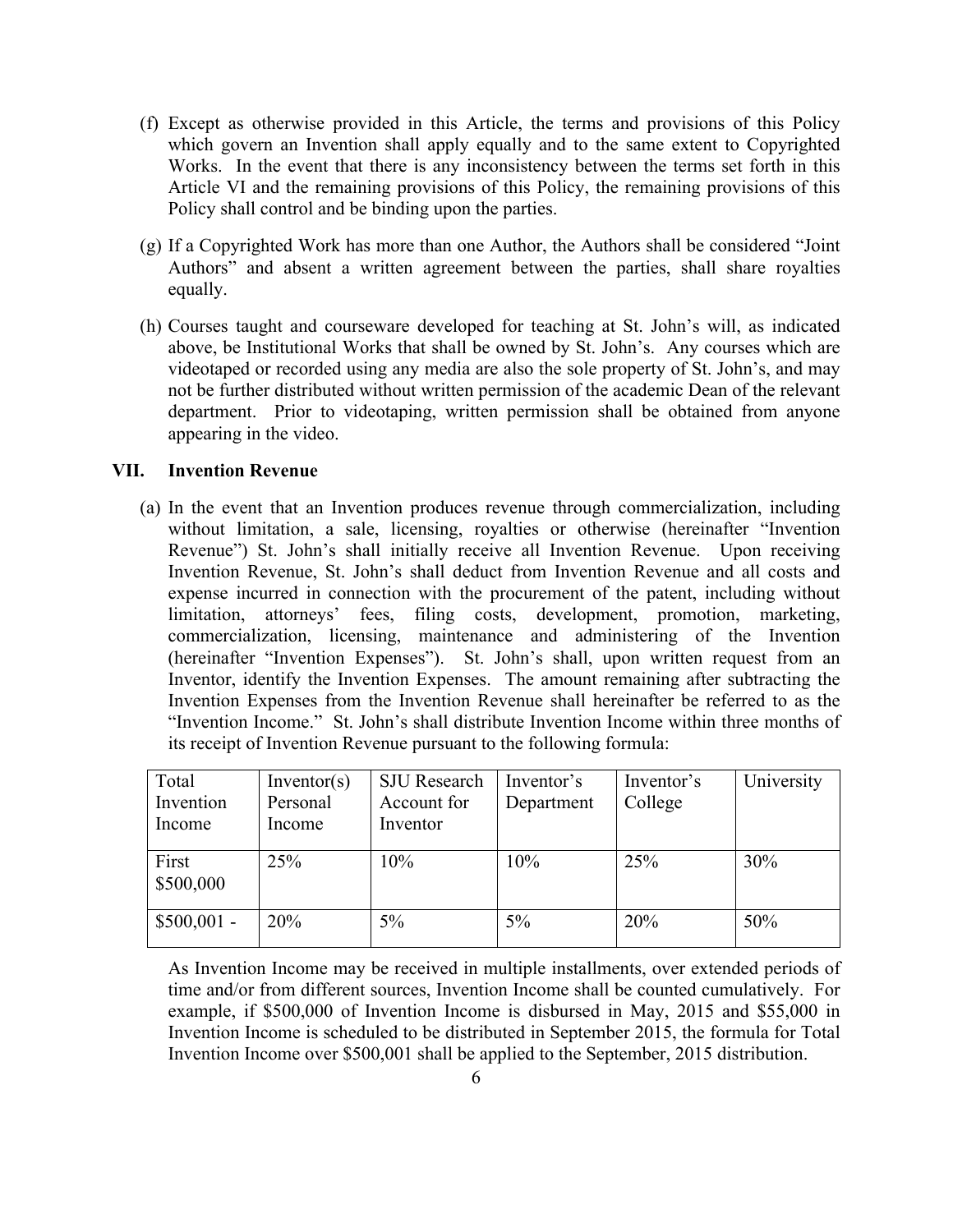- (f) Except as otherwise provided in this Article, the terms and provisions of this Policy which govern an Invention shall apply equally and to the same extent to Copyrighted Works. In the event that there is any inconsistency between the terms set forth in this Article VI and the remaining provisions of this Policy, the remaining provisions of this Policy shall control and be binding upon the parties.
- (g) If a Copyrighted Work has more than one Author, the Authors shall be considered "Joint Authors" and absent a written agreement between the parties, shall share royalties equally.
- (h) Courses taught and courseware developed for teaching at St. John's will, as indicated above, be Institutional Works that shall be owned by St. John's. Any courses which are videotaped or recorded using any media are also the sole property of St. John's, and may not be further distributed without written permission of the academic Dean of the relevant department. Prior to videotaping, written permission shall be obtained from anyone appearing in the video.

# **VII. Invention Revenue**

(a) In the event that an Invention produces revenue through commercialization, including without limitation, a sale, licensing, royalties or otherwise (hereinafter "Invention Revenue") St. John's shall initially receive all Invention Revenue. Upon receiving Invention Revenue, St. John's shall deduct from Invention Revenue and all costs and expense incurred in connection with the procurement of the patent, including without limitation, attorneys' fees, filing costs, development, promotion, marketing, commercialization, licensing, maintenance and administering of the Invention (hereinafter "Invention Expenses"). St. John's shall, upon written request from an Inventor, identify the Invention Expenses. The amount remaining after subtracting the Invention Expenses from the Invention Revenue shall hereinafter be referred to as the "Invention Income." St. John's shall distribute Invention Income within three months of its receipt of Invention Revenue pursuant to the following formula:

| Total<br>Invention<br>Income | Inventor(s)<br>Personal<br>Income | <b>SJU</b> Research<br>Account for<br>Inventor | Inventor's<br>Department | Inventor's<br>College | University |
|------------------------------|-----------------------------------|------------------------------------------------|--------------------------|-----------------------|------------|
| First<br>\$500,000           | 25%                               | 10%                                            | 10%                      | 25%                   | 30%        |
| $$500,001 -$                 | 20%                               | 5%                                             | 5%                       | 20%                   | 50%        |

As Invention Income may be received in multiple installments, over extended periods of time and/or from different sources, Invention Income shall be counted cumulatively. For example, if \$500,000 of Invention Income is disbursed in May, 2015 and \$55,000 in Invention Income is scheduled to be distributed in September 2015, the formula for Total Invention Income over \$500,001 shall be applied to the September, 2015 distribution.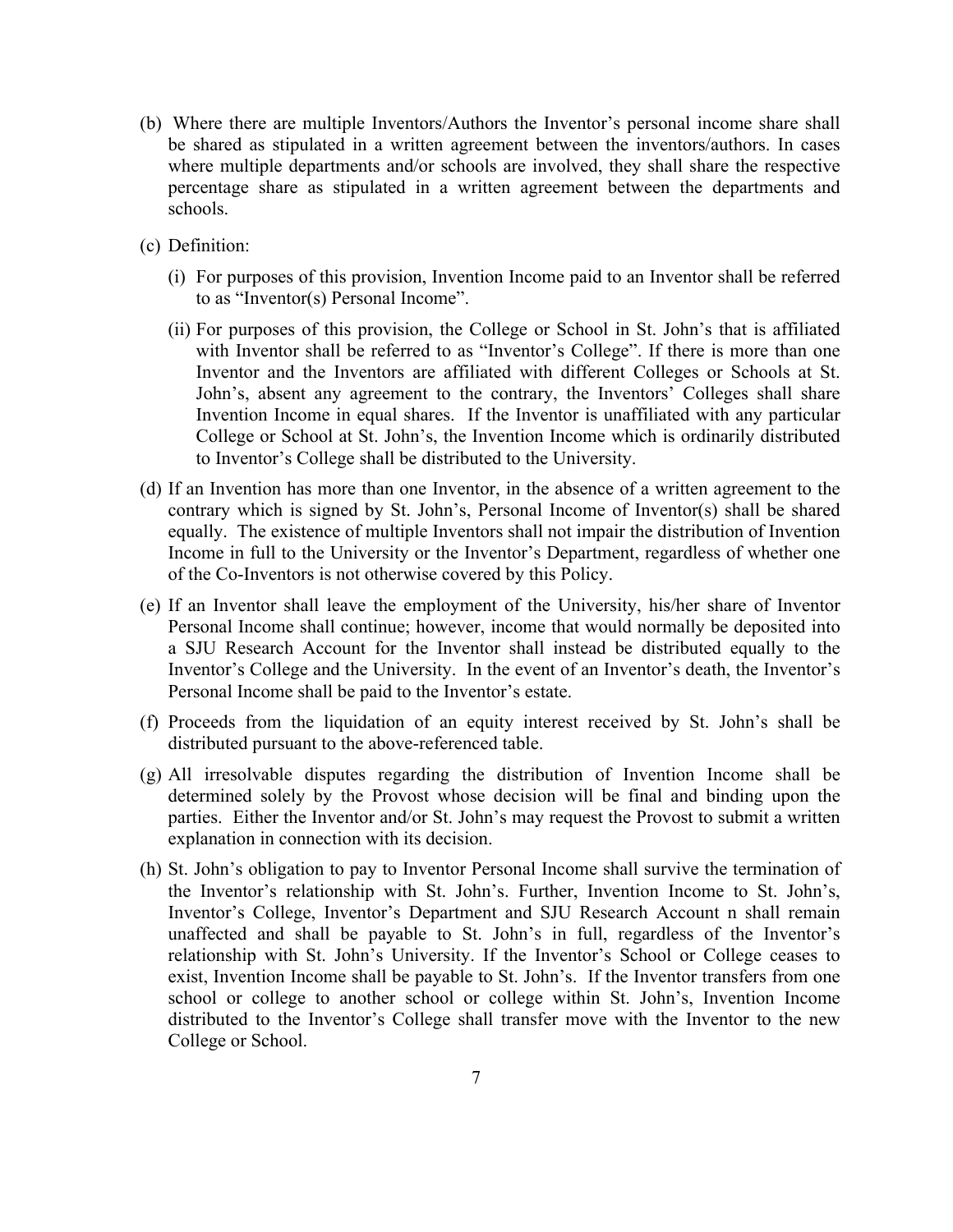- (b) Where there are multiple Inventors/Authors the Inventor's personal income share shall be shared as stipulated in a written agreement between the inventors/authors. In cases where multiple departments and/or schools are involved, they shall share the respective percentage share as stipulated in a written agreement between the departments and schools.
- (c) Definition:
	- (i) For purposes of this provision, Invention Income paid to an Inventor shall be referred to as "Inventor(s) Personal Income".
	- (ii) For purposes of this provision, the College or School in St. John's that is affiliated with Inventor shall be referred to as "Inventor's College". If there is more than one Inventor and the Inventors are affiliated with different Colleges or Schools at St. John's, absent any agreement to the contrary, the Inventors' Colleges shall share Invention Income in equal shares. If the Inventor is unaffiliated with any particular College or School at St. John's, the Invention Income which is ordinarily distributed to Inventor's College shall be distributed to the University.
- (d) If an Invention has more than one Inventor, in the absence of a written agreement to the contrary which is signed by St. John's, Personal Income of Inventor(s) shall be shared equally. The existence of multiple Inventors shall not impair the distribution of Invention Income in full to the University or the Inventor's Department, regardless of whether one of the Co-Inventors is not otherwise covered by this Policy.
- (e) If an Inventor shall leave the employment of the University, his/her share of Inventor Personal Income shall continue; however, income that would normally be deposited into a SJU Research Account for the Inventor shall instead be distributed equally to the Inventor's College and the University. In the event of an Inventor's death, the Inventor's Personal Income shall be paid to the Inventor's estate.
- (f) Proceeds from the liquidation of an equity interest received by St. John's shall be distributed pursuant to the above-referenced table.
- (g) All irresolvable disputes regarding the distribution of Invention Income shall be determined solely by the Provost whose decision will be final and binding upon the parties. Either the Inventor and/or St. John's may request the Provost to submit a written explanation in connection with its decision.
- (h) St. John's obligation to pay to Inventor Personal Income shall survive the termination of the Inventor's relationship with St. John's. Further, Invention Income to St. John's, Inventor's College, Inventor's Department and SJU Research Account n shall remain unaffected and shall be payable to St. John's in full, regardless of the Inventor's relationship with St. John's University. If the Inventor's School or College ceases to exist, Invention Income shall be payable to St. John's. If the Inventor transfers from one school or college to another school or college within St. John's, Invention Income distributed to the Inventor's College shall transfer move with the Inventor to the new College or School.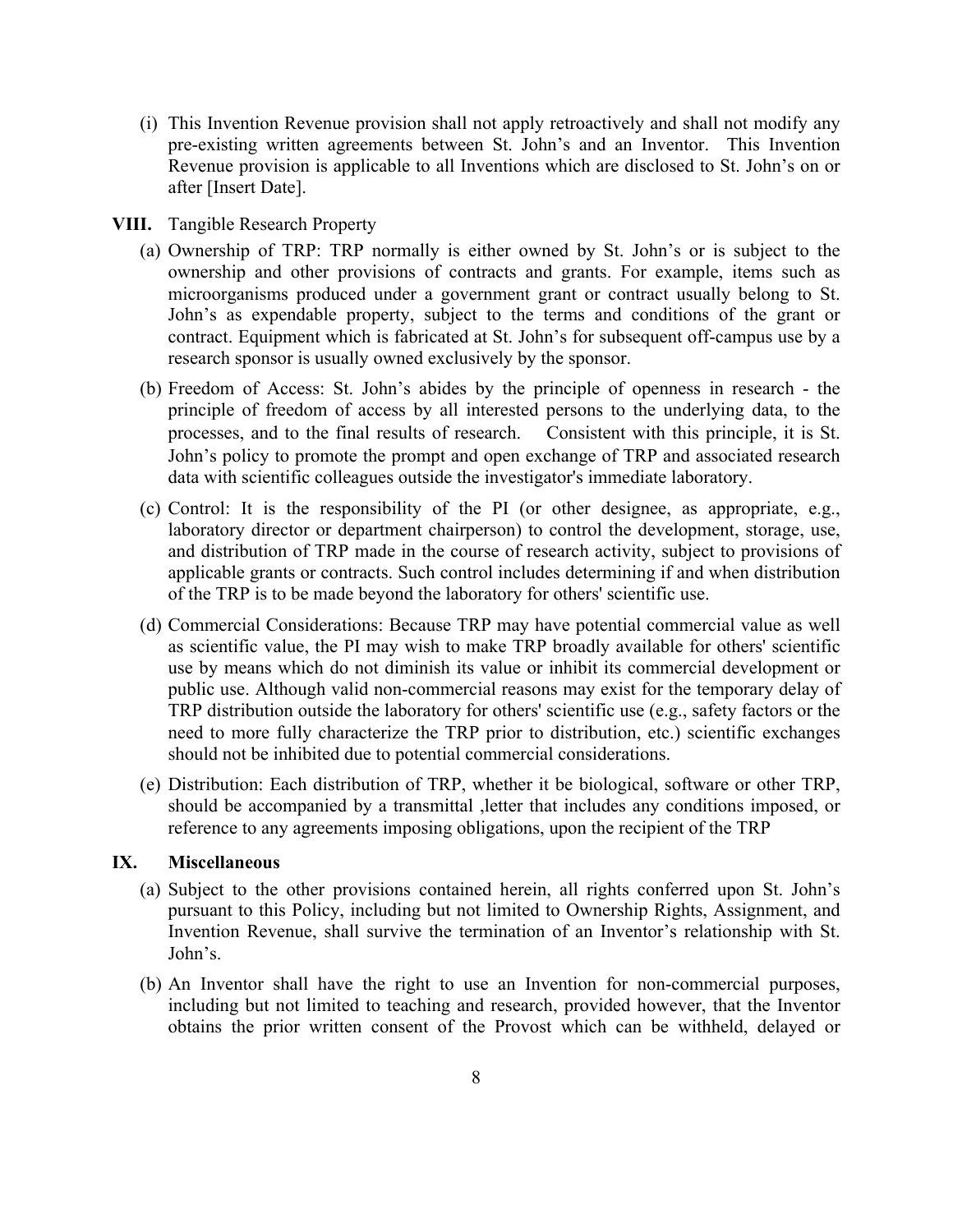- (i) This Invention Revenue provision shall not apply retroactively and shall not modify any pre-existing written agreements between St. John's and an Inventor. This Invention Revenue provision is applicable to all Inventions which are disclosed to St. John's on or after [Insert Date].
- **VIII.** Tangible Research Property
	- (a) Ownership of TRP: TRP normally is either owned by St. John's or is subject to the ownership and other provisions of contracts and grants. For example, items such as microorganisms produced under a government grant or contract usually belong to St. John's as expendable property, subject to the terms and conditions of the grant or contract. Equipment which is fabricated at St. John's for subsequent off-campus use by a research sponsor is usually owned exclusively by the sponsor.
	- (b) Freedom of Access: St. John's abides by the principle of openness in research the principle of freedom of access by all interested persons to the underlying data, to the processes, and to the final results of research. Consistent with this principle, it is St. John's policy to promote the prompt and open exchange of TRP and associated research data with scientific colleagues outside the investigator's immediate laboratory.
	- (c) Control: It is the responsibility of the PI (or other designee, as appropriate, e.g., laboratory director or department chairperson) to control the development, storage, use, and distribution of TRP made in the course of research activity, subject to provisions of applicable grants or contracts. Such control includes determining if and when distribution of the TRP is to be made beyond the laboratory for others' scientific use.
	- (d) Commercial Considerations: Because TRP may have potential commercial value as well as scientific value, the PI may wish to make TRP broadly available for others' scientific use by means which do not diminish its value or inhibit its commercial development or public use. Although valid non-commercial reasons may exist for the temporary delay of TRP distribution outside the laboratory for others' scientific use (e.g., safety factors or the need to more fully characterize the TRP prior to distribution, etc.) scientific exchanges should not be inhibited due to potential commercial considerations.
	- (e) Distribution: Each distribution of TRP, whether it be biological, software or other TRP, should be accompanied by a transmittal ,letter that includes any conditions imposed, or reference to any agreements imposing obligations, upon the recipient of the TRP

## **IX. Miscellaneous**

- (a) Subject to the other provisions contained herein, all rights conferred upon St. John's pursuant to this Policy, including but not limited to Ownership Rights, Assignment, and Invention Revenue, shall survive the termination of an Inventor's relationship with St. John's.
- (b) An Inventor shall have the right to use an Invention for non-commercial purposes, including but not limited to teaching and research, provided however, that the Inventor obtains the prior written consent of the Provost which can be withheld, delayed or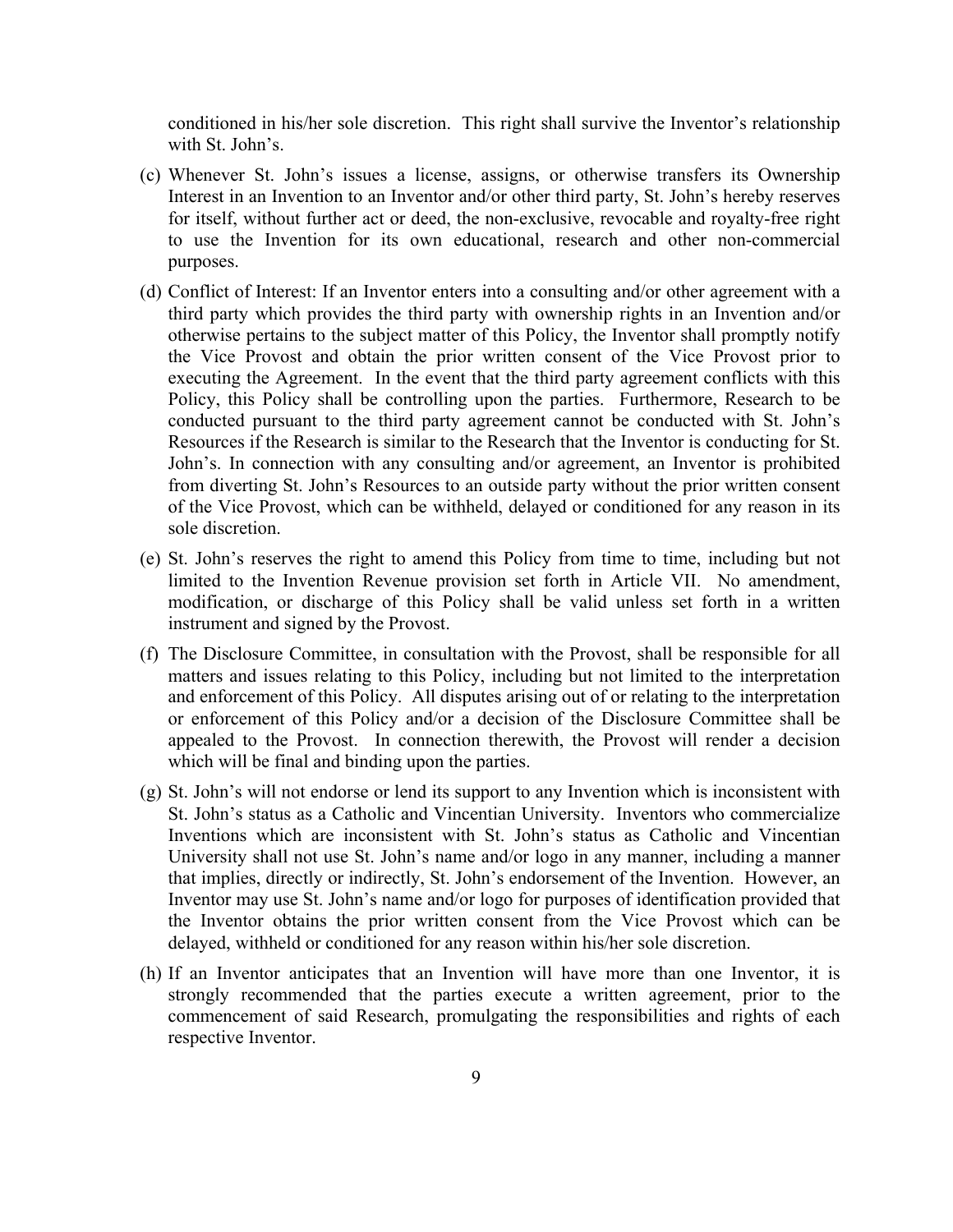conditioned in his/her sole discretion. This right shall survive the Inventor's relationship with St. John's.

- (c) Whenever St. John's issues a license, assigns, or otherwise transfers its Ownership Interest in an Invention to an Inventor and/or other third party, St. John's hereby reserves for itself, without further act or deed, the non-exclusive, revocable and royalty-free right to use the Invention for its own educational, research and other non-commercial purposes.
- (d) Conflict of Interest: If an Inventor enters into a consulting and/or other agreement with a third party which provides the third party with ownership rights in an Invention and/or otherwise pertains to the subject matter of this Policy, the Inventor shall promptly notify the Vice Provost and obtain the prior written consent of the Vice Provost prior to executing the Agreement. In the event that the third party agreement conflicts with this Policy, this Policy shall be controlling upon the parties. Furthermore, Research to be conducted pursuant to the third party agreement cannot be conducted with St. John's Resources if the Research is similar to the Research that the Inventor is conducting for St. John's. In connection with any consulting and/or agreement, an Inventor is prohibited from diverting St. John's Resources to an outside party without the prior written consent of the Vice Provost, which can be withheld, delayed or conditioned for any reason in its sole discretion.
- (e) St. John's reserves the right to amend this Policy from time to time, including but not limited to the Invention Revenue provision set forth in Article VII. No amendment, modification, or discharge of this Policy shall be valid unless set forth in a written instrument and signed by the Provost.
- (f) The Disclosure Committee, in consultation with the Provost, shall be responsible for all matters and issues relating to this Policy, including but not limited to the interpretation and enforcement of this Policy. All disputes arising out of or relating to the interpretation or enforcement of this Policy and/or a decision of the Disclosure Committee shall be appealed to the Provost. In connection therewith, the Provost will render a decision which will be final and binding upon the parties.
- (g) St. John's will not endorse or lend its support to any Invention which is inconsistent with St. John's status as a Catholic and Vincentian University. Inventors who commercialize Inventions which are inconsistent with St. John's status as Catholic and Vincentian University shall not use St. John's name and/or logo in any manner, including a manner that implies, directly or indirectly, St. John's endorsement of the Invention. However, an Inventor may use St. John's name and/or logo for purposes of identification provided that the Inventor obtains the prior written consent from the Vice Provost which can be delayed, withheld or conditioned for any reason within his/her sole discretion.
- (h) If an Inventor anticipates that an Invention will have more than one Inventor, it is strongly recommended that the parties execute a written agreement, prior to the commencement of said Research, promulgating the responsibilities and rights of each respective Inventor.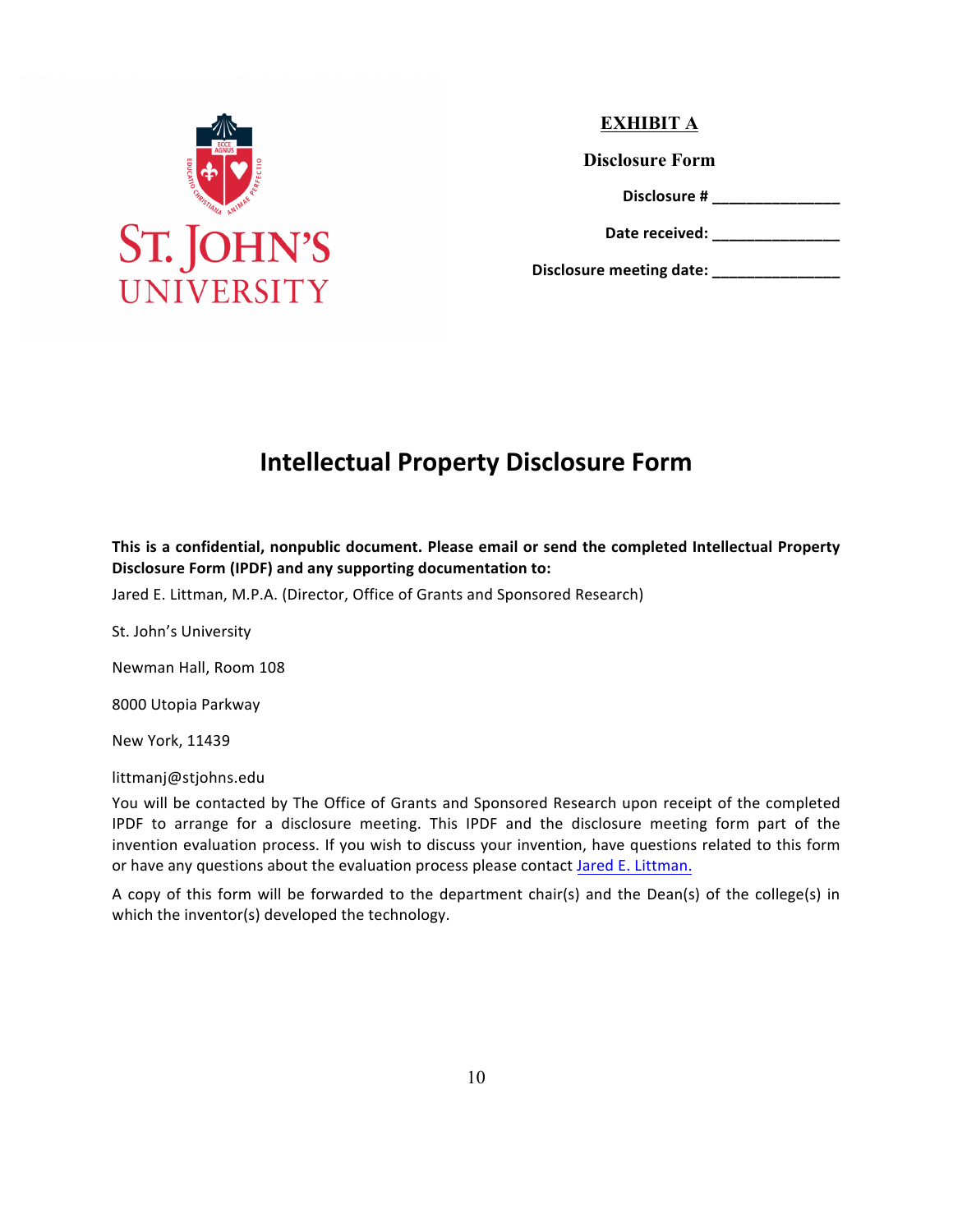

# **EXHIBIT A**

**Disclosure Form** 

**Disclosure # \_\_\_\_\_\_\_\_\_\_\_\_\_\_\_**

Date received:

**Disclosure meeting date: \_\_\_\_\_\_\_\_\_\_\_\_\_\_\_**

# **Intellectual Property Disclosure Form**

This is a confidential, nonpublic document. Please email or send the completed Intellectual Property **Disclosure Form (IPDF) and any supporting documentation to:** 

Jared E. Littman, M.P.A. (Director, Office of Grants and Sponsored Research)

St. John's University

Newman Hall, Room 108

8000 Utopia Parkway

New York, 11439

littmanj@stjohns.edu 

You will be contacted by The Office of Grants and Sponsored Research upon receipt of the completed IPDF to arrange for a disclosure meeting. This IPDF and the disclosure meeting form part of the invention evaluation process. If you wish to discuss your invention, have questions related to this form or have any questions about the evaluation process please contact Jared E. Littman.

A copy of this form will be forwarded to the department chair(s) and the Dean(s) of the college(s) in which the inventor(s) developed the technology.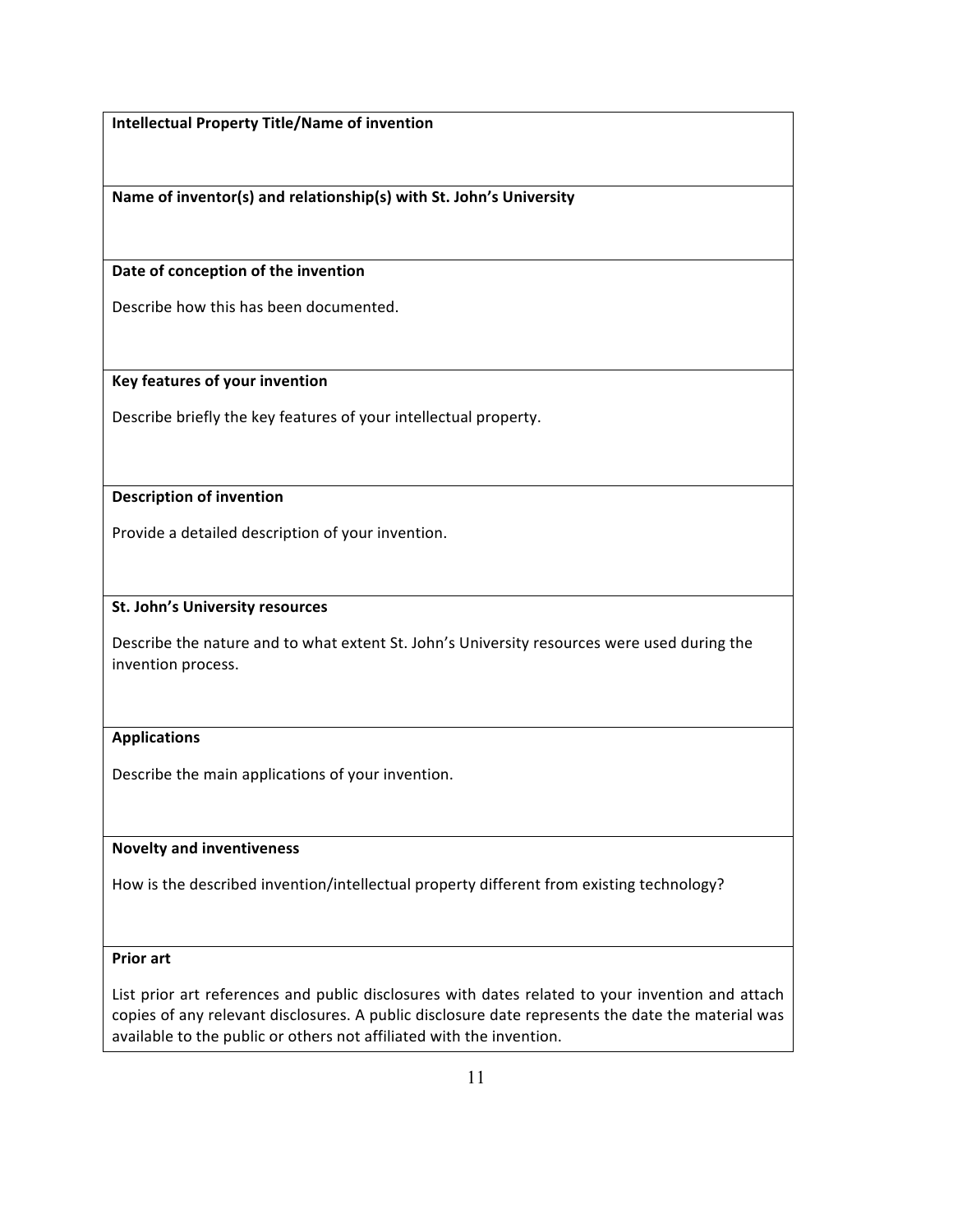**Intellectual Property Title/Name of invention**

Name of inventor(s) and relationship(s) with St. John's University

Date of conception of the invention

Describe how this has been documented.

**Key features of your invention**

Describe briefly the key features of your intellectual property.

## **Description of invention**

Provide a detailed description of your invention.

#### **St. John's University resources**

Describe the nature and to what extent St. John's University resources were used during the invention process.

#### **Applications**

Describe the main applications of your invention.

#### **Novelty and inventiveness**

How is the described invention/intellectual property different from existing technology?

### **Prior** art

List prior art references and public disclosures with dates related to your invention and attach copies of any relevant disclosures. A public disclosure date represents the date the material was available to the public or others not affiliated with the invention.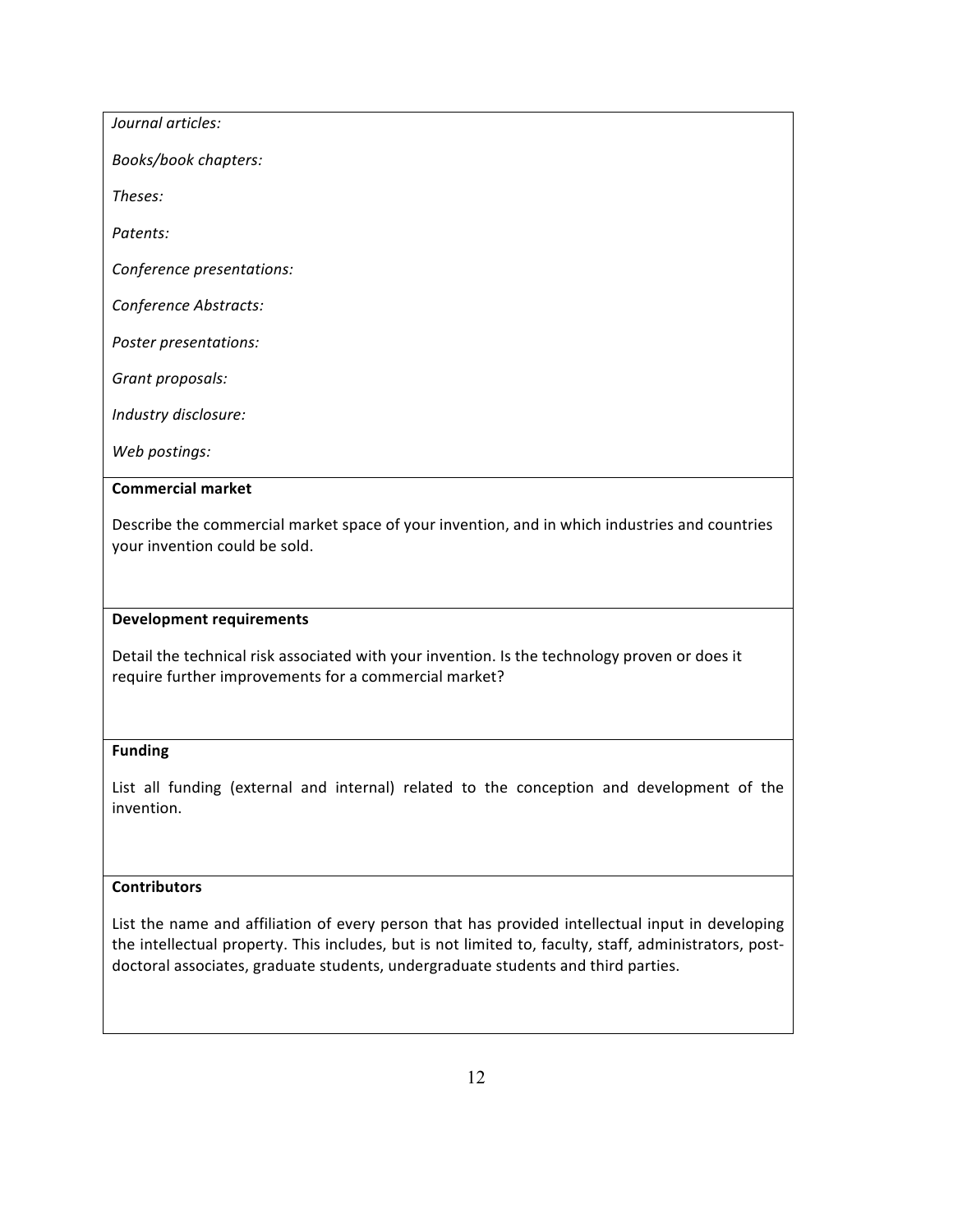| Journal articles:                                                                                                              |
|--------------------------------------------------------------------------------------------------------------------------------|
| Books/book chapters:                                                                                                           |
| Theses:                                                                                                                        |
| Patents:                                                                                                                       |
| Conference presentations:                                                                                                      |
| Conference Abstracts:                                                                                                          |
| Poster presentations:                                                                                                          |
| Grant proposals:                                                                                                               |
| Industry disclosure:                                                                                                           |
| Web postings:                                                                                                                  |
| <b>Commercial market</b>                                                                                                       |
| Describe the commercial market space of your invention, and in which industries and countries<br>your invention could be sold. |

#### **Development requirements**

Detail the technical risk associated with your invention. Is the technology proven or does it require further improvements for a commercial market?

### **Funding**

List all funding (external and internal) related to the conception and development of the invention.

## **Contributors**

List the name and affiliation of every person that has provided intellectual input in developing the intellectual property. This includes, but is not limited to, faculty, staff, administrators, postdoctoral associates, graduate students, undergraduate students and third parties.